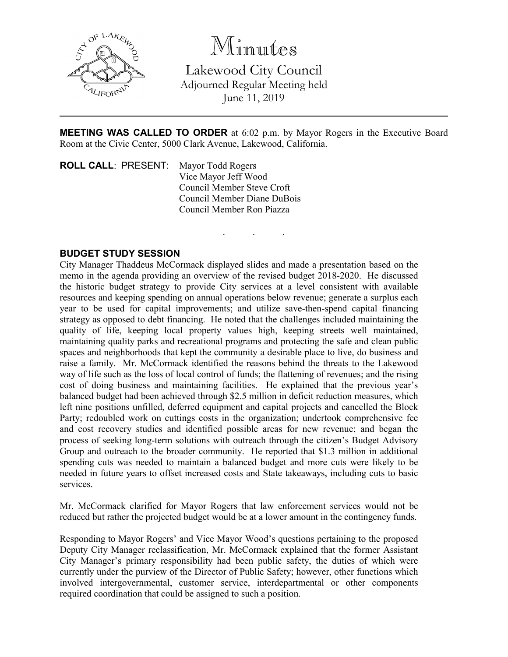

Minutes

Lakewood City Council Adjourned Regular Meeting held June 11, 2019

**MEETING WAS CALLED TO ORDER** at 6:02 p.m. by Mayor Rogers in the Executive Board Room at the Civic Center, 5000 Clark Avenue, Lakewood, California.

. . .

**ROLL CALL**: PRESENT: Mayor Todd Rogers Vice Mayor Jeff Wood Council Member Steve Croft Council Member Diane DuBois Council Member Ron Piazza

## **BUDGET STUDY SESSION**

City Manager Thaddeus McCormack displayed slides and made a presentation based on the memo in the agenda providing an overview of the revised budget 2018-2020. He discussed the historic budget strategy to provide City services at a level consistent with available resources and keeping spending on annual operations below revenue; generate a surplus each year to be used for capital improvements; and utilize save-then-spend capital financing strategy as opposed to debt financing. He noted that the challenges included maintaining the quality of life, keeping local property values high, keeping streets well maintained, maintaining quality parks and recreational programs and protecting the safe and clean public spaces and neighborhoods that kept the community a desirable place to live, do business and raise a family. Mr. McCormack identified the reasons behind the threats to the Lakewood way of life such as the loss of local control of funds; the flattening of revenues; and the rising cost of doing business and maintaining facilities. He explained that the previous year's balanced budget had been achieved through \$2.5 million in deficit reduction measures, which left nine positions unfilled, deferred equipment and capital projects and cancelled the Block Party; redoubled work on cuttings costs in the organization; undertook comprehensive fee and cost recovery studies and identified possible areas for new revenue; and began the process of seeking long-term solutions with outreach through the citizen's Budget Advisory Group and outreach to the broader community. He reported that \$1.3 million in additional spending cuts was needed to maintain a balanced budget and more cuts were likely to be needed in future years to offset increased costs and State takeaways, including cuts to basic services.

Mr. McCormack clarified for Mayor Rogers that law enforcement services would not be reduced but rather the projected budget would be at a lower amount in the contingency funds.

Responding to Mayor Rogers' and Vice Mayor Wood's questions pertaining to the proposed Deputy City Manager reclassification, Mr. McCormack explained that the former Assistant City Manager's primary responsibility had been public safety, the duties of which were currently under the purview of the Director of Public Safety; however, other functions which involved intergovernmental, customer service, interdepartmental or other components required coordination that could be assigned to such a position.